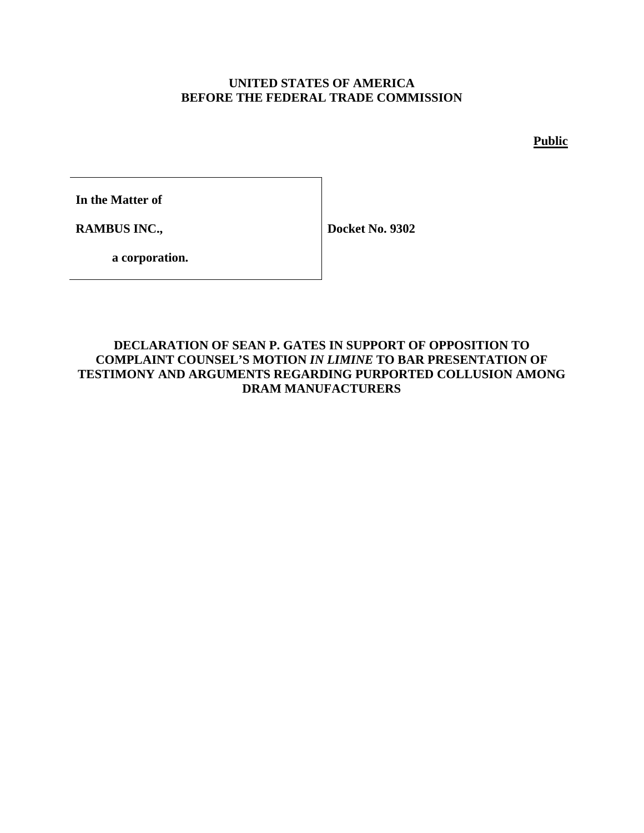## **UNITED STATES OF AMERICA BEFORE THE FEDERAL TRADE COMMISSION**

**Public**

**In the Matter of**

**RAMBUS INC.,**

**Docket No. 9302**

**a corporation.**

## **DECLARATION OF SEAN P. GATES IN SUPPORT OF OPPOSITION TO COMPLAINT COUNSEL'S MOTION** *IN LIMINE* **TO BAR PRESENTATION OF TESTIMONY AND ARGUMENTS REGARDING PURPORTED COLLUSION AMONG DRAM MANUFACTURERS**